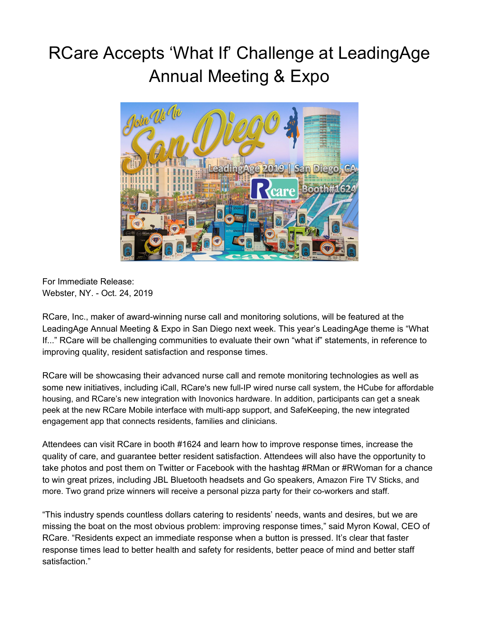## RCare Accepts 'What If' Challenge at LeadingAge Annual Meeting & Expo



For Immediate Release: Webster, NY. - Oct. 24, 2019

RCare, Inc., maker of award-winning nurse call and monitoring solutions, will be featured at the LeadingAge Annual Meeting & Expo in San Diego next week. This year's LeadingAge theme is "What If..." RCare will be challenging communities to evaluate their own "what if" statements, in reference to improving quality, resident satisfaction and response times.

RCare will be showcasing their advanced nurse call and remote monitoring technologies as well as some new initiatives, including iCall, RCare's new full-IP wired nurse call system, the HCube for affordable housing, and RCare's new integration with Inovonics hardware. In addition, participants can get a sneak peek at the new RCare Mobile interface with multi-app support, and SafeKeeping, the new integrated engagement app that connects residents, families and clinicians.

Attendees can visit RCare in booth #1624 and learn how to improve response times, increase the quality of care, and guarantee better resident satisfaction. Attendees will also have the opportunity to take photos and post them on Twitter or Facebook with the hashtag #RMan or #RWoman for a chance to win great prizes, including JBL Bluetooth headsets and Go speakers, Amazon Fire TV Sticks, and more. Two grand prize winners will receive a personal pizza party for their co-workers and staff.

"This industry spends countless dollars catering to residents' needs, wants and desires, but we are missing the boat on the most obvious problem: improving response times," said Myron Kowal, CEO of RCare. "Residents expect an immediate response when a button is pressed. It's clear that faster response times lead to better health and safety for residents, better peace of mind and better staff satisfaction."